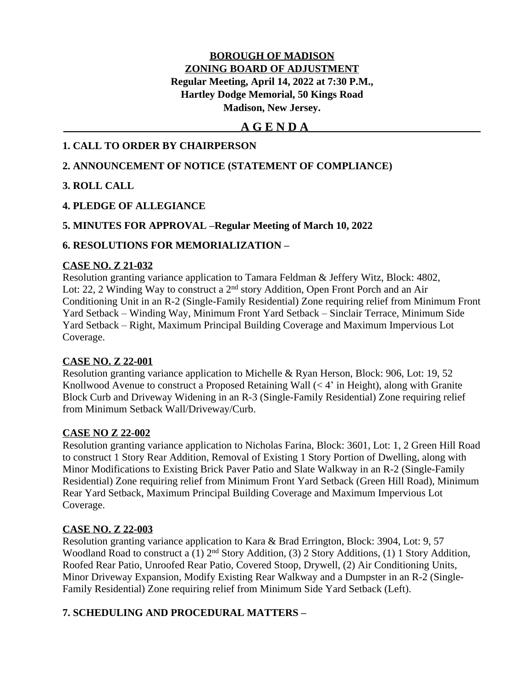## **BOROUGH OF MADISON ZONING BOARD OF ADJUSTMENT Regular Meeting, April 14, 2022 at 7:30 P.M., Hartley Dodge Memorial, 50 Kings Road Madison, New Jersey.**

# **\_\_\_\_\_\_\_\_\_\_\_\_\_\_\_\_\_\_\_\_\_\_\_\_\_\_\_\_\_\_\_\_\_\_A G E N D A\_\_\_\_\_\_\_\_\_\_\_\_\_\_\_\_\_\_\_\_\_\_\_\_\_\_\_\_\_\_\_\_\_**

### **1. CALL TO ORDER BY CHAIRPERSON**

### **2. ANNOUNCEMENT OF NOTICE (STATEMENT OF COMPLIANCE)**

### **3. ROLL CALL**

## **4. PLEDGE OF ALLEGIANCE**

### **5. MINUTES FOR APPROVAL –Regular Meeting of March 10, 2022**

### **6. RESOLUTIONS FOR MEMORIALIZATION –**

#### **CASE NO. Z 21-032**

Resolution granting variance application to Tamara Feldman & Jeffery Witz, Block: 4802, Lot: 22, 2 Winding Way to construct a 2<sup>nd</sup> story Addition, Open Front Porch and an Air Conditioning Unit in an R-2 (Single-Family Residential) Zone requiring relief from Minimum Front Yard Setback – Winding Way, Minimum Front Yard Setback – Sinclair Terrace, Minimum Side Yard Setback – Right, Maximum Principal Building Coverage and Maximum Impervious Lot Coverage.

### **CASE NO. Z 22-001**

Resolution granting variance application to Michelle & Ryan Herson, Block: 906, Lot: 19, 52 Knollwood Avenue to construct a Proposed Retaining Wall  $( $4$ )$  in Height), along with Granite Block Curb and Driveway Widening in an R-3 (Single-Family Residential) Zone requiring relief from Minimum Setback Wall/Driveway/Curb.

### **CASE NO Z 22-002**

Resolution granting variance application to Nicholas Farina, Block: 3601, Lot: 1, 2 Green Hill Road to construct 1 Story Rear Addition, Removal of Existing 1 Story Portion of Dwelling, along with Minor Modifications to Existing Brick Paver Patio and Slate Walkway in an R-2 (Single-Family Residential) Zone requiring relief from Minimum Front Yard Setback (Green Hill Road), Minimum Rear Yard Setback, Maximum Principal Building Coverage and Maximum Impervious Lot Coverage.

### **CASE NO. Z 22-003**

Resolution granting variance application to Kara & Brad Errington, Block: 3904, Lot: 9, 57 Woodland Road to construct a (1)  $2<sup>nd</sup>$  Story Addition, (3) 2 Story Additions, (1) 1 Story Addition, Roofed Rear Patio, Unroofed Rear Patio, Covered Stoop, Drywell, (2) Air Conditioning Units, Minor Driveway Expansion, Modify Existing Rear Walkway and a Dumpster in an R-2 (Single-Family Residential) Zone requiring relief from Minimum Side Yard Setback (Left).

# **7. SCHEDULING AND PROCEDURAL MATTERS –**